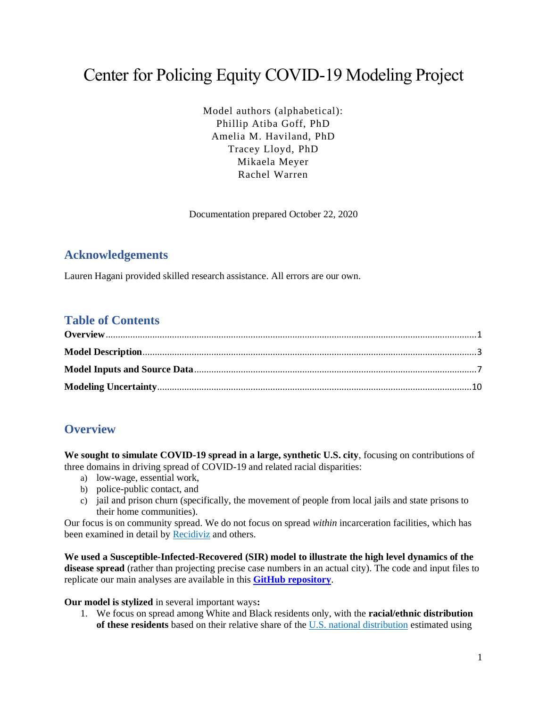# Center for Policing Equity COVID-19 Modeling Project

Model authors (alphabetical): Phillip Atiba Goff, PhD Amelia M. Haviland, PhD Tracey Lloyd, PhD Mikaela Meyer Rachel Warren

Documentation prepared October 22, 2020

### **Acknowledgements**

Lauren Hagani provided skilled research assistance. All errors are our own.

### **Table of Contents**

# <span id="page-0-0"></span>**Overview**

**We sought to simulate COVID-19 spread in a large, synthetic U.S. city**, focusing on contributions of three domains in driving spread of COVID-19 and related racial disparities:

- a) low-wage, essential work,
- b) police-public contact, and
- c) jail and prison churn (specifically, the movement of people from local jails and state prisons to their home communities).

Our focus is on community spread. We do not focus on spread *within* incarceration facilities, which has been examined in detail by [Recidiviz](https://www.recidiviz.org/covid) and others.

**We used a Susceptible-Infected-Recovered (SIR) model to illustrate the high level dynamics of the disease spread** (rather than projecting precise case numbers in an actual city). The code and input files to replicate our main analyses are available in this **[GitHub repository](https://github.com/rachelwarren/CPE_Covid_Model)**.

**Our model is stylized** in several important ways**:**

1. We focus on spread among White and Black residents only, with the **racial/ethnic distribution of these residents** based on their relative share of the [U.S. national distribution](https://www.census.gov/quickfacts/fact/table/US/PST120219#PST120219) estimated using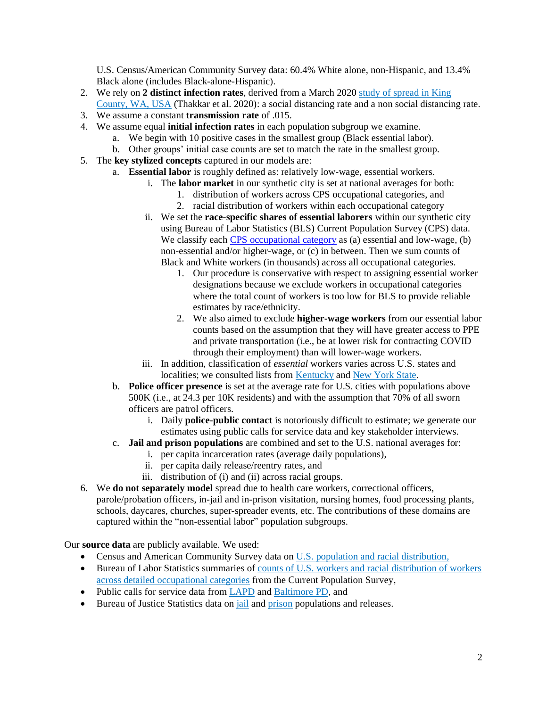U.S. Census/American Community Survey data: 60.4% White alone, non-Hispanic, and 13.4% Black alone (includes Black-alone-Hispanic).

- 2. We rely on **2 distinct infection rates**, derived from a March 202[0 study of spread in King](https://covid.idmod.org/data/Social_distancing_mobility_reductions_reduced_COVID_Seattle.pdf)  [County, WA, USA](https://covid.idmod.org/data/Social_distancing_mobility_reductions_reduced_COVID_Seattle.pdf) (Thakkar et al. 2020): a social distancing rate and a non social distancing rate.
- 3. We assume a constant **transmission rate** of .015.
- 4. We assume equal **initial infection rates** in each population subgroup we examine.
	- a. We begin with 10 positive cases in the smallest group (Black essential labor).
	- b. Other groups' initial case counts are set to match the rate in the smallest group.
- 5. The **key stylized concepts** captured in our models are:
	- a. **Essential labor** is roughly defined as: relatively low-wage, essential workers.
		- i. The **labor market** in our synthetic city is set at national averages for both:
			- 1. distribution of workers across CPS occupational categories, and
			- 2. racial distribution of workers within each occupational category
		- ii. We set the **race-specific shares of essential laborers** within our synthetic city using Bureau of Labor Statistics (BLS) Current Population Survey (CPS) data. We classify each [CPS occupational category](https://www.bls.gov/cps/cpsaat11.htm) as (a) essential and low-wage, (b) non-essential and/or higher-wage, or (c) in between. Then we sum counts of Black and White workers (in thousands) across all occupational categories.
			- 1. Our procedure is conservative with respect to assigning essential worker designations because we exclude workers in occupational categories where the total count of workers is too low for BLS to provide reliable estimates by race/ethnicity.
			- 2. We also aimed to exclude **higher-wage workers** from our essential labor counts based on the assumption that they will have greater access to PPE and private transportation (i.e., be at lower risk for contracting COVID through their employment) than will lower-wage workers.
		- iii. In addition, classification of *essential* workers varies across U.S. states and localities; we consulted lists fro[m Kentucky](https://governor.ky.gov/attachments/20200325_Executive-Order_2020-257_Healthy-at-Home.pdf) and [New York State.](https://www.governor.ny.gov/sites/governor.ny.gov/files/atoms/files/EO202.6.pdf)
		- b. **Police officer presence** is set at the average rate for U.S. cities with populations above 500K (i.e., at 24.3 per 10K residents) and with the assumption that 70% of all sworn officers are patrol officers.
			- i. Daily **police-public contact** is notoriously difficult to estimate; we generate our estimates using public calls for service data and key stakeholder interviews.
		- c. **Jail and prison populations** are combined and set to the U.S. national averages for:
			- i. per capita incarceration rates (average daily populations),
				- ii. per capita daily release/reentry rates, and
				- iii. distribution of (i) and (ii) across racial groups.
- 6. We **do not separately model** spread due to health care workers, correctional officers, parole/probation officers, in-jail and in-prison visitation, nursing homes, food processing plants, schools, daycares, churches, super-spreader events, etc. The contributions of these domains are captured within the "non-essential labor" population subgroups.

Our **source data** are publicly available. We used:

- Census and American Community Survey data on [U.S. population and racial distribution,](https://www.census.gov/quickfacts/fact/table/US/PST120219#PST120219)
- Bureau of Labor Statistics summaries of [counts of U.S. workers and racial distribution of workers](https://www.bls.gov/cps/cpsaat11.htm)  [across detailed occupational categories](https://www.bls.gov/cps/cpsaat11.htm) from the Current Population Survey,
- Public calls for service data fro[m LAPD](https://data.lacity.org/A-Safe-City/LAPD-Calls-for-Service-2019/r4ka-x5je) an[d Baltimore PD,](https://data.baltimorecity.gov/Public-Safety/911-Police-Calls-for-Service/xviu-ezkt) and
- Bureau of Justice Statistics data on *jail* and *prison* populations and releases.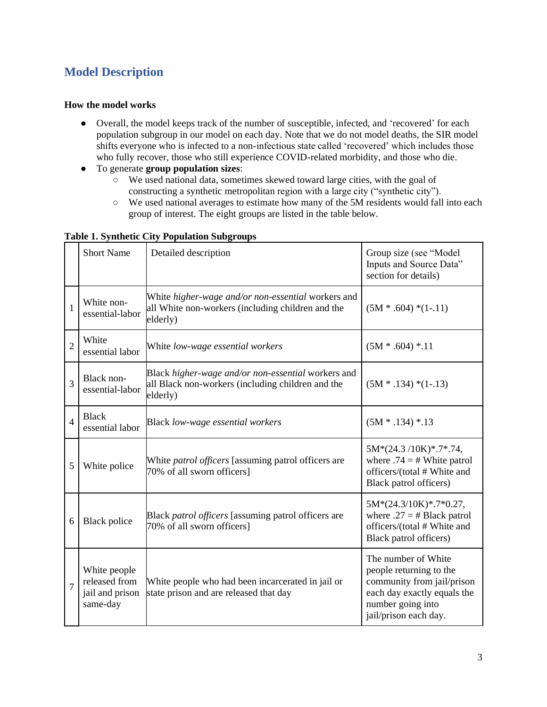# <span id="page-2-0"></span>**Model Description**

#### **How the model works**

- Overall, the model keeps track of the number of susceptible, infected, and 'recovered' for each population subgroup in our model on each day. Note that we do not model deaths, the SIR model shifts everyone who is infected to a non-infectious state called 'recovered' which includes those who fully recover, those who still experience COVID-related morbidity, and those who die.
- To generate **group population sizes**:
	- We used national data, sometimes skewed toward large cities, with the goal of constructing a synthetic metropolitan region with a large city ("synthetic city").
	- We used national averages to estimate how many of the 5M residents would fall into each group of interest. The eight groups are listed in the table below.

|                | <b>Short Name</b>                                            | Detailed description                                                                                                | Group size (see "Model<br>Inputs and Source Data"<br>section for details)                                                                                 |
|----------------|--------------------------------------------------------------|---------------------------------------------------------------------------------------------------------------------|-----------------------------------------------------------------------------------------------------------------------------------------------------------|
| $\mathbf{1}$   | White non-<br>essential-labor                                | White higher-wage and/or non-essential workers and<br>all White non-workers (including children and the<br>elderly) | $(5M * .604) * (1-.11)$                                                                                                                                   |
| $\overline{2}$ | White<br>essential labor                                     | White low-wage essential workers                                                                                    | $(5M * .604) * .11$                                                                                                                                       |
| 3              | Black non-<br>essential-labor                                | Black higher-wage and/or non-essential workers and<br>all Black non-workers (including children and the<br>elderly) | $(5M * .134) * (1-.13)$                                                                                                                                   |
| $\overline{4}$ | <b>Black</b><br>essential labor                              | Black low-wage essential workers                                                                                    | $(5M * .134) * .13$                                                                                                                                       |
| 5              | White police                                                 | White <i>patrol officers</i> [assuming patrol officers are<br>70% of all sworn officers]                            | $5M*(24.3/10K)*(7*.74)$<br>where $.74 = #$ White patrol<br>officers/(total # White and<br>Black patrol officers)                                          |
| 6              | <b>Black police</b>                                          | Black patrol officers [assuming patrol officers are<br>70% of all sworn officers]                                   | $5M*(24.3/10K)*.7*0.27,$<br>where $.27 = # Black$ patrol<br>officers/(total # White and<br>Black patrol officers)                                         |
| $\overline{7}$ | White people<br>released from<br>jail and prison<br>same-day | White people who had been incarcerated in jail or<br>state prison and are released that day                         | The number of White<br>people returning to the<br>community from jail/prison<br>each day exactly equals the<br>number going into<br>jail/prison each day. |

#### **Table 1. Synthetic City Population Subgroups**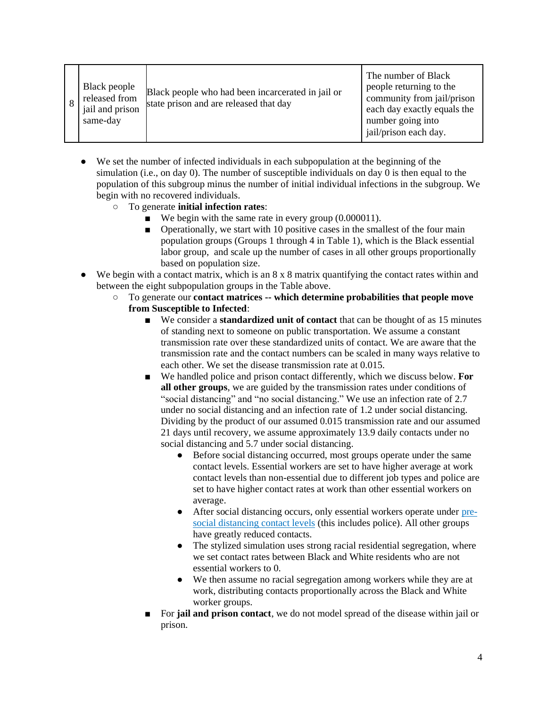|  | Black people<br>released from<br>jail and prison<br>same-day | Black people who had been incarcerated in jail or<br>state prison and are released that day | The number of Black<br>people returning to the<br>community from jail/prison<br>each day exactly equals the<br>number going into<br>jail/prison each day. |
|--|--------------------------------------------------------------|---------------------------------------------------------------------------------------------|-----------------------------------------------------------------------------------------------------------------------------------------------------------|
|--|--------------------------------------------------------------|---------------------------------------------------------------------------------------------|-----------------------------------------------------------------------------------------------------------------------------------------------------------|

- We set the number of infected individuals in each subpopulation at the beginning of the simulation (i.e., on day 0). The number of susceptible individuals on day 0 is then equal to the population of this subgroup minus the number of initial individual infections in the subgroup. We begin with no recovered individuals.
	- To generate **initial infection rates**:
		- $\blacksquare$  We begin with the same rate in every group (0.000011).
		- Operationally, we start with 10 positive cases in the smallest of the four main population groups (Groups 1 through 4 in Table 1), which is the Black essential labor group, and scale up the number of cases in all other groups proportionally based on population size.
- We begin with a contact matrix, which is an 8 x 8 matrix quantifying the contact rates within and between the eight subpopulation groups in the Table above.
	- To generate our **contact matrices -- which determine probabilities that people move from Susceptible to Infected**:
		- We consider a **standardized unit of contact** that can be thought of as 15 minutes of standing next to someone on public transportation. We assume a constant transmission rate over these standardized units of contact. We are aware that the transmission rate and the contact numbers can be scaled in many ways relative to each other. We set the disease transmission rate at 0.015.
		- We handled police and prison contact differently, which we discuss below. **For all other groups**, we are guided by the transmission rates under conditions of "social distancing" and "no social distancing." We use an infection rate of 2.7 under no social distancing and an infection rate of 1.2 under social distancing. Dividing by the product of our assumed 0.015 transmission rate and our assumed 21 days until recovery, we assume approximately 13.9 daily contacts under no social distancing and 5.7 under social distancing.
			- Before social distancing occurred, most groups operate under the same contact levels. Essential workers are set to have higher average at work contact levels than non-essential due to different job types and police are set to have higher contact rates at work than other essential workers on average.
			- After social distancing occurs, only essential workers operate under [pre](https://www.ingentaconnect.com/content/iuatld/ijtld/2003/00000007/A00312s3/art00021)[social distancing contact levels](https://www.ingentaconnect.com/content/iuatld/ijtld/2003/00000007/A00312s3/art00021) (this includes police). All other groups have greatly reduced contacts.
			- The stylized simulation uses strong racial residential segregation, where we set contact rates between Black and White residents who are not essential workers to 0.
			- We then assume no racial segregation among workers while they are at work, distributing contacts proportionally across the Black and White worker groups.
		- For **jail and prison contact**, we do not model spread of the disease within jail or prison.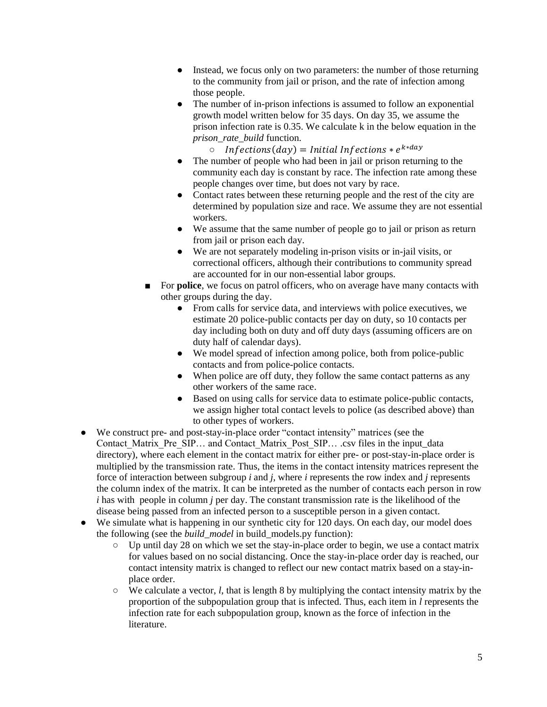- Instead, we focus only on two parameters: the number of those returning to the community from jail or prison, and the rate of infection among those people.
- The number of in-prison infections is assumed to follow an exponential growth model written below for 35 days. On day 35, we assume the prison infection rate is 0.35. We calculate k in the below equation in the *prison\_rate\_build* function.

 $\circ$  Infections(day) = Initial Infections  $* e^{k*day}$ 

- The number of people who had been in jail or prison returning to the community each day is constant by race. The infection rate among these people changes over time, but does not vary by race.
- Contact rates between these returning people and the rest of the city are determined by population size and race. We assume they are not essential workers.
- We assume that the same number of people go to jail or prison as return from jail or prison each day.
- We are not separately modeling in-prison visits or in-jail visits, or correctional officers, although their contributions to community spread are accounted for in our non-essential labor groups.
- For **police**, we focus on patrol officers, who on average have many contacts with other groups during the day.
	- From calls for service data, and interviews with police executives, we estimate 20 police-public contacts per day on duty, so 10 contacts per day including both on duty and off duty days (assuming officers are on duty half of calendar days).
	- We model spread of infection among police, both from police-public contacts and from police-police contacts.
	- When police are off duty, they follow the same contact patterns as any other workers of the same race.
	- Based on using calls for service data to estimate police-public contacts, we assign higher total contact levels to police (as described above) than to other types of workers.
- We construct pre- and post-stay-in-place order "contact intensity" matrices (see the Contact Matrix Pre SIP... and Contact Matrix Post SIP... .csv files in the input\_data directory), where each element in the contact matrix for either pre- or post-stay-in-place order is multiplied by the transmission rate. Thus, the items in the contact intensity matrices represent the force of interaction between subgroup *i* and *j*, where *i* represents the row index and *j* represents the column index of the matrix. It can be interpreted as the number of contacts each person in row *i* has with people in column *j* per day. The constant transmission rate is the likelihood of the disease being passed from an infected person to a susceptible person in a given contact.
- We simulate what is happening in our synthetic city for 120 days. On each day, our model does the following (see the *build\_model* in build\_models.py function):
	- Up until day 28 on which we set the stay-in-place order to begin, we use a contact matrix for values based on no social distancing. Once the stay-in-place order day is reached, our contact intensity matrix is changed to reflect our new contact matrix based on a stay-inplace order.
	- We calculate a vector, *l*, that is length 8 by multiplying the contact intensity matrix by the proportion of the subpopulation group that is infected. Thus, each item in *l* represents the infection rate for each subpopulation group, known as the force of infection in the literature.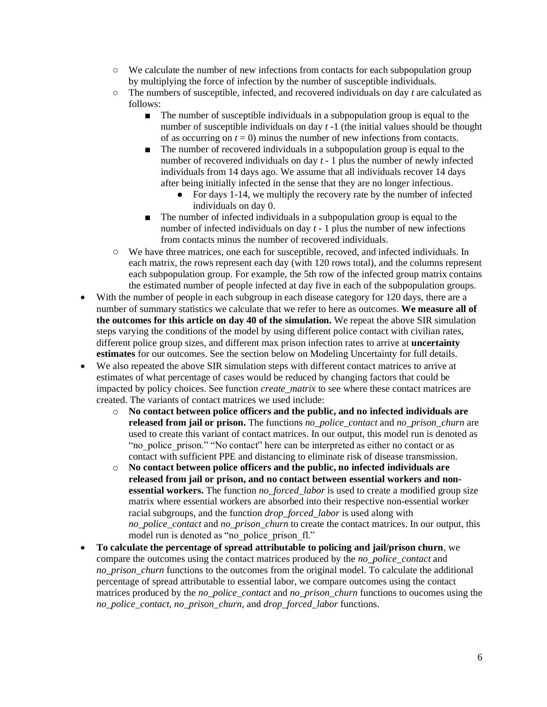- We calculate the number of new infections from contacts for each subpopulation group by multiplying the force of infection by the number of susceptible individuals.
- The numbers of susceptible, infected, and recovered individuals on day *t* are calculated as follows:
	- The number of susceptible individuals in a subpopulation group is equal to the number of susceptible individuals on day *t* -1 (the initial values should be thought of as occurring on  $t = 0$ ) minus the number of new infections from contacts.
	- The number of recovered individuals in a subpopulation group is equal to the number of recovered individuals on day *t* - 1 plus the number of newly infected individuals from 14 days ago. We assume that all individuals recover 14 days after being initially infected in the sense that they are no longer infectious.
		- For days 1-14, we multiply the recovery rate by the number of infected individuals on day 0.
	- The number of infected individuals in a subpopulation group is equal to the number of infected individuals on day *t* - 1 plus the number of new infections from contacts minus the number of recovered individuals.
- We have three matrices, one each for susceptible, recoved, and infected individuals. In each matrix, the rows represent each day (with 120 rows total), and the columns represent each subpopulation group. For example, the 5th row of the infected group matrix contains the estimated number of people infected at day five in each of the subpopulation groups.
- With the number of people in each subgroup in each disease category for 120 days, there are a number of summary statistics we calculate that we refer to here as outcomes. **We measure all of the outcomes for this article on day 40 of the simulation.** We repeat the above SIR simulation steps varying the conditions of the model by using different police contact with civilian rates, different police group sizes, and different max prison infection rates to arrive at **uncertainty estimates** for our outcomes. See the section below on Modeling Uncertainty for full details.
- We also repeated the above SIR simulation steps with different contact matrices to arrive at estimates of what percentage of cases would be reduced by changing factors that could be impacted by policy choices. See function *create\_matrix* to see where these contact matrices are created. The variants of contact matrices we used include:
	- o **No contact between police officers and the public, and no infected individuals are released from jail or prison.** The functions *no\_police\_contact* and *no\_prison\_churn* are used to create this variant of contact matrices. In our output, this model run is denoted as "no police prison." "No contact" here can be interpreted as either no contact or as contact with sufficient PPE and distancing to eliminate risk of disease transmission.
	- o **No contact between police officers and the public, no infected individuals are released from jail or prison, and no contact between essential workers and nonessential workers.** The function *no\_forced\_labor* is used to create a modified group size matrix where essential workers are absorbed into their respective non-essential worker racial subgroups, and the function *drop\_forced\_labor* is used along with *no\_police\_contact* and *no\_prison\_churn* to create the contact matrices. In our output, this model run is denoted as "no police prison fl."
- **To calculate the percentage of spread attributable to policing and jail/prison churn**, we compare the outcomes using the contact matrices produced by the *no\_police\_contact* and *no\_prison\_churn* functions to the outcomes from the original model. To calculate the additional percentage of spread attributable to essential labor, we compare outcomes using the contact matrices produced by the *no\_police\_contact* and *no\_prison\_churn* functions to oucomes using the *no\_police\_contact, no\_prison\_churn*, and *drop\_forced\_labor* functions.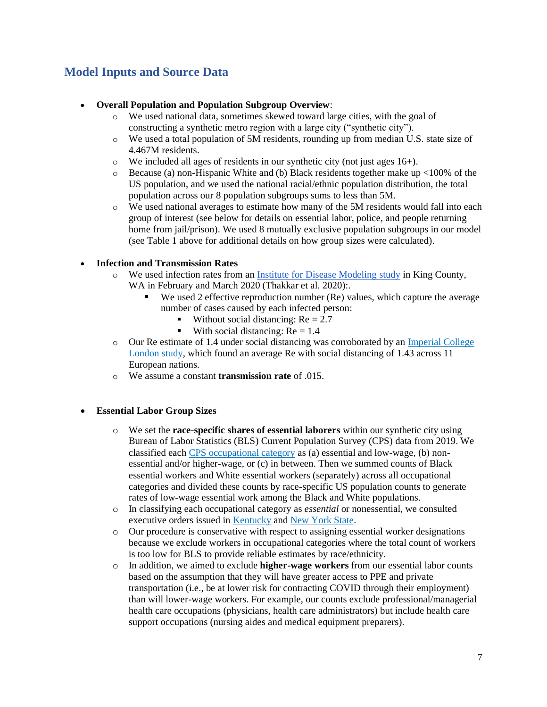# <span id="page-6-0"></span>**Model Inputs and Source Data**

#### • **Overall Population and Population Subgroup Overview**:

- o We used national data, sometimes skewed toward large cities, with the goal of constructing a synthetic metro region with a large city ("synthetic city").
- o We used a total population of 5M residents, rounding up from median U.S. state size of 4.467M residents.
- o We included all ages of residents in our synthetic city (not just ages 16+).
- $\circ$  Because (a) non-Hispanic White and (b) Black residents together make up <100% of the US population, and we used the national racial/ethnic population distribution, the total population across our 8 population subgroups sums to less than 5M.
- o We used national averages to estimate how many of the 5M residents would fall into each group of interest (see below for details on essential labor, police, and people returning home from jail/prison). We used 8 mutually exclusive population subgroups in our model (see Table 1 above for additional details on how group sizes were calculated).

#### • **Infection and Transmission Rates**

- o We used infection rates from a[n Institute for Disease Modeling](https://covid.idmod.org/data/Social_distancing_mobility_reductions_reduced_COVID_Seattle.pdf) study in King County, WA in February and March 2020 (Thakkar et al. 2020):.
	- We used 2 effective reproduction number (Re) values, which capture the average number of cases caused by each infected person:
		- Without social distancing:  $Re = 2.7$
		- With social distancing:  $Re = 1.4$
- o Our Re estimate of 1.4 under social distancing was corroborated by an [Imperial College](https://www.imperial.ac.uk/media/imperial-college/medicine/mrc-gida/2020-03-30-COVID19-Report-13.pdf)  [London study,](https://www.imperial.ac.uk/media/imperial-college/medicine/mrc-gida/2020-03-30-COVID19-Report-13.pdf) which found an average Re with social distancing of 1.43 across 11 European nations.
- o We assume a constant **transmission rate** of .015.

#### • **Essential Labor Group Sizes**

- o We set the **race-specific shares of essential laborers** within our synthetic city using Bureau of Labor Statistics (BLS) Current Population Survey (CPS) data from 2019. We classified each [CPS occupational category](https://www.bls.gov/cps/cpsaat11.htm) as (a) essential and low-wage, (b) nonessential and/or higher-wage, or (c) in between. Then we summed counts of Black essential workers and White essential workers (separately) across all occupational categories and divided these counts by race-specific US population counts to generate rates of low-wage essential work among the Black and White populations.
- o In classifying each occupational category as *essential* or nonessential, we consulted executive orders issued i[n Kentucky](https://governor.ky.gov/attachments/20200325_Executive-Order_2020-257_Healthy-at-Home.pdf) and [New York State.](https://www.governor.ny.gov/sites/governor.ny.gov/files/atoms/files/EO202.6.pdf)
- o Our procedure is conservative with respect to assigning essential worker designations because we exclude workers in occupational categories where the total count of workers is too low for BLS to provide reliable estimates by race/ethnicity.
- o In addition, we aimed to exclude **higher-wage workers** from our essential labor counts based on the assumption that they will have greater access to PPE and private transportation (i.e., be at lower risk for contracting COVID through their employment) than will lower-wage workers. For example, our counts exclude professional/managerial health care occupations (physicians, health care administrators) but include health care support occupations (nursing aides and medical equipment preparers).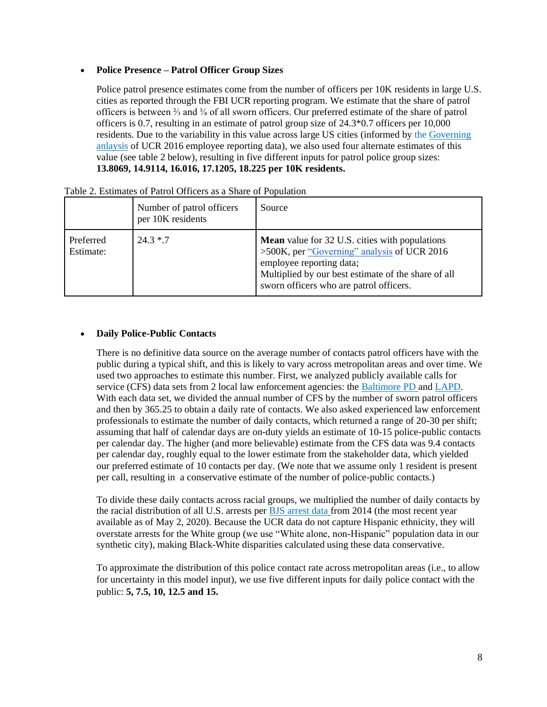#### • **Police Presence – Patrol Officer Group Sizes**

Police patrol presence estimates come from the number of officers per 10K residents in large U.S. cities as reported through the FBI UCR reporting program. We estimate that the share of patrol officers is between ⅔ and ¾ of all sworn officers. Our preferred estimate of the share of patrol officers is 0.7, resulting in an estimate of patrol group size of 24.3\*0.7 officers per 10,000 residents. Due to the variability in this value across large US cities (informed by the [Governing](https://www.governing.com/gov-data/safety-justice/police-officers-per-capita-rates-employment-for-city-departments.html)  [anlaysis](https://www.governing.com/gov-data/safety-justice/police-officers-per-capita-rates-employment-for-city-departments.html) of UCR 2016 employee reporting data), we also used four alternate estimates of this value (see table 2 below), resulting in five different inputs for patrol police group sizes: **13.8069, 14.9114, 16.016, 17.1205, 18.225 per 10K residents.**

|                        | Number of patrol officers<br>per 10K residents | Source                                                                                                                                                                                                                             |
|------------------------|------------------------------------------------|------------------------------------------------------------------------------------------------------------------------------------------------------------------------------------------------------------------------------------|
| Preferred<br>Estimate: | $24.3 * .7$                                    | <b>Mean</b> value for 32 U.S. cities with populations<br>>500K, per "Governing" analysis of UCR 2016<br>employee reporting data;<br>Multiplied by our best estimate of the share of all<br>sworn officers who are patrol officers. |

|  |  |  | Table 2. Estimates of Patrol Officers as a Share of Population |  |  |  |  |  |  |  |  |  |
|--|--|--|----------------------------------------------------------------|--|--|--|--|--|--|--|--|--|
|--|--|--|----------------------------------------------------------------|--|--|--|--|--|--|--|--|--|

#### • **Daily Police-Public Contacts**

There is no definitive data source on the average number of contacts patrol officers have with the public during a typical shift, and this is likely to vary across metropolitan areas and over time. We used two approaches to estimate this number. First, we analyzed publicly available calls for service (CFS) data sets from 2 local law enforcement agencies: the [Baltimore PD](https://data.baltimorecity.gov/Public-Safety/911-Police-Calls-for-Service/xviu-ezkt) and [LAPD.](https://data.lacity.org/A-Safe-City/LAPD-Calls-for-Service-2019/r4ka-x5je) With each data set, we divided the annual number of CFS by the number of sworn patrol officers and then by 365.25 to obtain a daily rate of contacts. We also asked experienced law enforcement professionals to estimate the number of daily contacts, which returned a range of 20-30 per shift; assuming that half of calendar days are on-duty yields an estimate of 10-15 police-public contacts per calendar day. The higher (and more believable) estimate from the CFS data was 9.4 contacts per calendar day, roughly equal to the lower estimate from the stakeholder data, which yielded our preferred estimate of 10 contacts per day. (We note that we assume only 1 resident is present per call, resulting in a conservative estimate of the number of police-public contacts.)

To divide these daily contacts across racial groups, we multiplied the number of daily contacts by the racial distribution of all U.S. arrests per [BJS arrest data](https://www.bjs.gov/index.cfm?ty=datool&surl=/arrests/index.cfm) from 2014 (the most recent year available as of May 2, 2020). Because the UCR data do not capture Hispanic ethnicity, they will overstate arrests for the White group (we use "White alone, non-Hispanic" population data in our synthetic city), making Black-White disparities calculated using these data conservative.

To approximate the distribution of this police contact rate across metropolitan areas (i.e., to allow for uncertainty in this model input), we use five different inputs for daily police contact with the public: **5, 7.5, 10, 12.5 and 15.**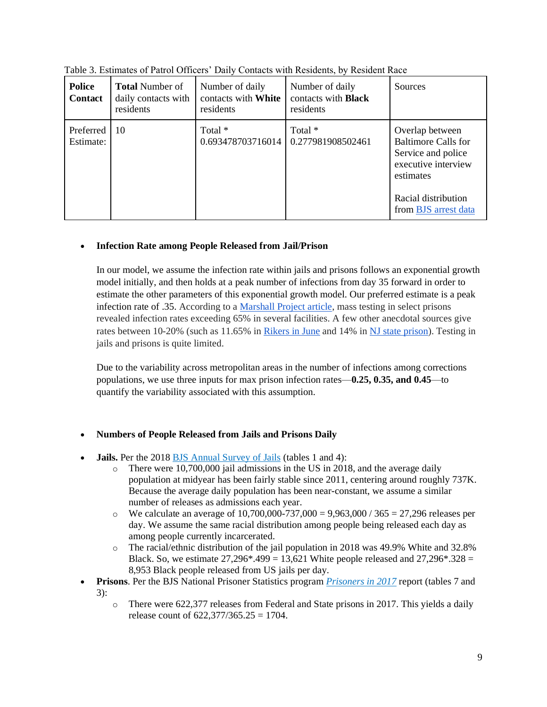| <b>Police</b><br><b>Contact</b> | <b>Total Number of</b><br>daily contacts with<br>residents | Number of daily<br>contacts with White<br>residents | Number of daily<br>contacts with <b>Black</b><br>residents | Sources                                                                                                                                                |
|---------------------------------|------------------------------------------------------------|-----------------------------------------------------|------------------------------------------------------------|--------------------------------------------------------------------------------------------------------------------------------------------------------|
| Preferred<br>Estimate:          | 10                                                         | Total *<br>0.693478703716014                        | Total *<br>0.277981908502461                               | Overlap between<br><b>Baltimore Calls for</b><br>Service and police<br>executive interview<br>estimates<br>Racial distribution<br>from BJS arrest data |

Table 3. Estimates of Patrol Officers' Daily Contacts with Residents, by Resident Race

#### • **Infection Rate among People Released from Jail/Prison**

In our model, we assume the infection rate within jails and prisons follows an exponential growth model initially, and then holds at a peak number of infections from day 35 forward in order to estimate the other parameters of this exponential growth model. Our preferred estimate is a peak infection rate of .35. According to a [Marshall Project article,](https://www.themarshallproject.org/2020/04/24/these-prisons-are-doing-mass-testing-for-covid-19-and-finding-mass-infections) mass testing in select prisons revealed infection rates exceeding 65% in several facilities. A few other anecdotal sources give rates between 10-20% (such as 11.65% in [Rikers in June](https://legalaidnyc.org/wp-content/uploads/2020/06/6_19_-Analysis-of-COVID-19-Infection-Rate-in-NYC-Jails.pdf) and 14% i[n NJ state prison\)](https://www.prisonpolicy.org/blog/2020/06/24/covidrates/). Testing in jails and prisons is quite limited.

Due to the variability across metropolitan areas in the number of infections among corrections populations, we use three inputs for max prison infection rates—**0.25, 0.35, and 0.45**—to quantify the variability associated with this assumption.

#### • **Numbers of People Released from Jails and Prisons Daily**

- **Jails.** Per the 2018 [BJS Annual Survey of Jails](https://www.bjs.gov/content/pub/pdf/ji18.pdf) (tables 1 and 4):
	- $\circ$  There were 10,700,000 jail admissions in the US in 2018, and the average daily population at midyear has been fairly stable since 2011, centering around roughly 737K. Because the average daily population has been near-constant, we assume a similar number of releases as admissions each year.
	- $\degree$  We calculate an average of 10,700,000-737,000 = 9,963,000 / 365 = 27,296 releases per day. We assume the same racial distribution among people being released each day as among people currently incarcerated.
	- o The racial/ethnic distribution of the jail population in 2018 was 49.9% White and 32.8% Black. So, we estimate  $27,296*.499 = 13,621$  White people released and  $27,296*.328 =$ 8,953 Black people released from US jails per day.
- **Prisons**. Per the BJS National Prisoner Statistics program *[Prisoners in 2017](https://www.bjs.gov/content/pub/pdf/p17.pdf)* report (tables 7 and 3):
	- o There were 622,377 releases from Federal and State prisons in 2017. This yields a daily release count of  $622.377/365.25 = 1704$ .